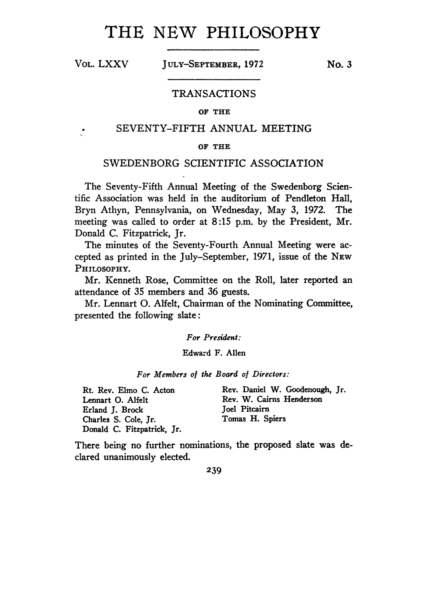# THE NEW PHILOSOPHY

Vol. LXXV July-September, <sup>1972</sup> **No. <sup>3</sup>**

#### TRANSACTIONS

#### **OF THE**

## SEVENTY-FIFTH ANNUAL MEETING

#### **OF THE**

## SWEDENBORG SCIENTIFIC ASSOCIATION

The Seventy-Fifth Annual Meeting of the Swedenborg Scientific Association was held in the auditorium of Pendleton Hall, Bryn Athyn, Pennsylvania, on Wednesday, May 3, 1972. The meeting was called to order at 8:15 p.m. by the President, Mr. Donald C. Fitzpatrick, Jr.

The minutes of the Seventy-Fourth Annual Meeting were accepted as printed in the July-September, 1971, issue of the New PHILOSOPHY.

Mr. Kenneth Rose, Committee on the Roll, later reported an attendance of 35 members and 36 guests.

Mr. Lennart O. Alfelt, Chairman of the Nominating Committee, presented the following slate:

*For President:*

#### Edward F. Allen

*For Members of the Board of Directors:*

Rt. Rev. Elmo C. Acton Lennart O. Alfelt Erland J. Brock Charles S. Cole, Jr. Donald C. Fitzpatrick, Jr. Rev. Daniel W. Goodenough, Jr. Rev. W. Cairns Henderson Joel Pitcairn Tomas H. Spiers

There being no further nominations, the proposed slate was declared unanimously elected.

#### **239**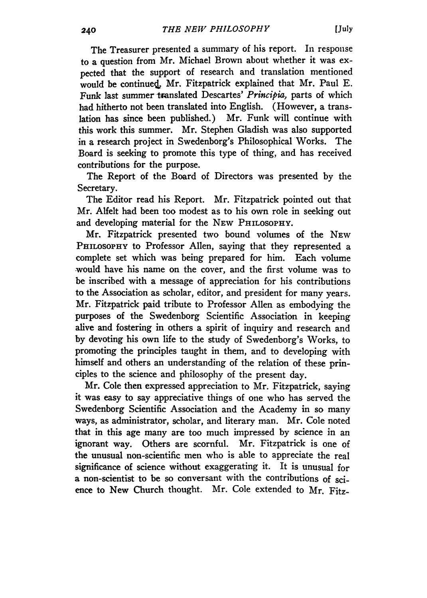The Treasurer presented a summary of his report. In response to a question from Mr. Michael Brown about whether it was expected that the support of research and translation mentioned would be continued. Mr. Fitzpatrick explained that Mr. Paul E. Funk last summer translated Descartes' *Principia,* parts of which had hitherto not been translated into English. (However, a translation has since been published.) Mr. Funk will continue with this work this summer. Mr. Stephen Gladish was also supported in a research project in Swedenborg's Philosophical Works. The Board is seeking to promote this type of thing, and has received contributions for the purpose.

The Report of the Board of Directors was presented by the Secretary.

The Editor read his Report. Mr. Fitzpatrick pointed out that Mr. Alfelt had been too modest as to his own role in seeking out and developing material for the NEW PHILOSOPHY.

Mr. Fitzpatrick presented two bound volumes of the New PHILOSOPHY to Professor Allen, saying that they represented a complete set which was being prepared for him. Each volume would have his name on the cover, and the first volume was to be inscribed with a message of appreciation for his contributions to the Association as scholar, editor, and president for many years. Mr. Fitzpatrick paid tribute to Professor Allen as embodying the purposes of the Swedenborg Scientific Association in keeping alive and fostering in others a spirit of inquiry and research and by devoting his own life to the study of Swedenborg's Works, to promoting the principles taught in them, and to developing with himself and others an understanding of the relation of these principles to the science and philosophy of the present day.

Mr. Cole then expressed appreciation to Mr. Fitzpatrick, saying it was easy to say appreciative things of one who has served the Swedenborg Scientific Association and the Academy in so many ways, as administrator, scholar, and literary man. Mr. Cole noted that in this age many are too much impressed by science in an ignorant way. Others are scornful. Mr. Fitzpatrick is one of the unusual non-scientific men who is able to appreciate the real significance of science without exaggerating it. It is unusual for a non-scientist to be so conversant with the contributions of science to New Church thought. Mr. Cole extended to Mr. Fitz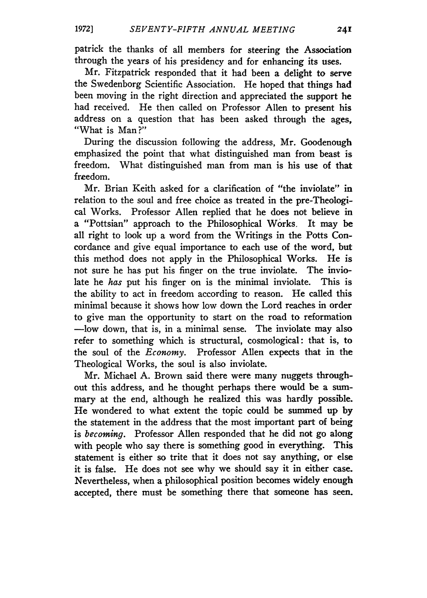**1972]** *SEVENTY-FIFTH ANNUAL MEETING* 241

patrick the thanks of all members for steering the Association through the years of his presidency and for enhancing its uses.

Mr. Fitzpatrick responded that it had been a delight to serve the Swedenborg Scientific Association. He hoped that things had been moving in the right direction and appreciated the support he had received. He then called on Professor Allen to present his address on a question that has been asked through the ages, "What is Man?"

During the discussion following the address, Mr. Goodenough emphasized the point that what distinguished man from beast is freedom. What distinguished man from man is his use of that freedom.

Mr. Brian Keith asked for a clarification of "the inviolate" in relation to the soul and free choice as treated in the pre-Theological Works. Professor Allen replied that he does not believe in a "Pottsian" approach to the Philosophical Works. It may be all right to look up a word from the Writings in the Potts Concordance and give equal importance to each use of the word, but this method does not apply in the Philosophical Works. He is not sure he has put his finger on the true inviolate. The inviolate he *has* put his finger on is the minimal inviolate. This is the ability to act in freedom according to reason. He called this minimal because it shows how low down the Lord reaches in order to give man the opportunity to start on the road to reformation —low down, that is, in a minimal sense. The inviolate may also refer to something which is structural, cosmological: that is, to the soul of the *Economy.* Professor Allen expects that in the Theological Works, the soul is also inviolate.

Mr. Michael A. Brown said there were many nuggets throughout this address, and he thought perhaps there would be a summary at the end, although he realized this was hardly possible. He wondered to what extent the topic could be summed up by the statement in the address that the most important part of being is *becoming.* Professor Allen responded that he did not go along with people who say there is something good in everything. This statement is either so trite that it does not say anything, or else it is false. He does not see why we should say it in either case. Nevertheless, when a philosophical position becomes widely enough accepted, there must be something there that someone has seen.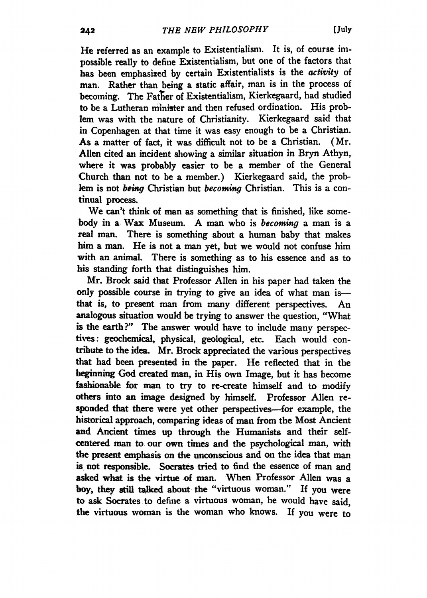He referred as an example to Existentialism. It is, of course impossible really to define Existentialism, but one of the factors that has been emphasised by certain Existentialists is the *activity* of man. Rather than being a static affair, man is in the process of becoming. The Father of Existentialism, Kierkegaard, had studied to be a Lutheran minister and then refused ordination. His problem was with the nature of Christianity. Kierkegaard said that in Copenhagen at that time it was easy enough to be a Christian. As a matter of fact, it was difficult not to be a Christian. (Mr. Allen cited an incident showing a similar situation in Bryn Athyn, where it was probably easier to be a member of the General Church than not to be a member.) Kierkegaard said, the problem is not *being* Christian but *becoming* Christian. This is a continual process.

We can't think of man as something that is finished, like somebody in a Wax Museum. A man who is *becoming* a man is a real man. There is something about a human baby that makes him a man. He is not a man yet, but we would not confuse him with an animal. There is something as to his essence and as to his standing forth that distinguishes him.

Mr. Brock said that Professor Allen in his paper had taken the only possible course in trying to give an idea of what man is that is, to present man from many different perspectives. An analogous situation would be trying to answer the question, "What is the earth?" The answer would have to include many perspectives: geochemical, physical, geological, etc. Each would contribute to the idea. Mr. Brock appreciated the various perspectives that had been presented in the paper. He reflected that in the beginning God created man, in His own Image, but it has become fashionable for man to try to re-create himself and to modify others into an image designed by himself. Professor Allen responded that there were yet other perspectives—for example, the historical approach, comparing ideas of man from the Most Ancient and Ancient times up through the Humanists and their selfcentered man to our own times and the psychological man, with the present emphasis on the unconscious and on the idea that man is not responsible. Socrates tried to find the essence of man and asked what is the virtue of man. When Professor Allen was a boy, they still talked about the "virtuous woman." If you were to ask Socrates to define a virtuous woman, he would have said, the virtuous woman is the woman who knows. If you were to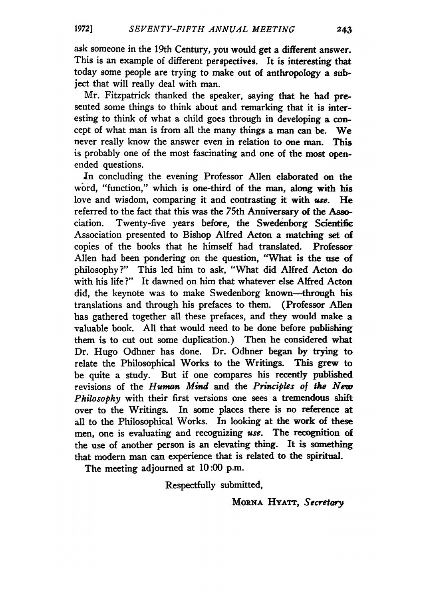ask someone in the 19th Century, you would get a different answer. This is an example of different perspectives. It is interesting that today some people are trying to make out of anthropology a subject that will really deal with man.

Mr. Fitzpatrick thanked the speaker, saying that he had presented some things to think about and remarking that it is interesting to think of what a child goes through in developing a concept of what man is from all the many things a man can be. We never really know the answer even in relation to one man. This is probably one of the most fascinating and one of the most openended questions.

In concluding the evening Professor Allen elaborated on the word, "function," which is one-third of the man, along with his love and wisdom, comparing it and contrasting it with *use.* He referred to the fact that this was the 75th Anniversary of the Association. Twenty-five years before, the Swedenborg Scientific Association presented to Bishop Alfred Acton a matching set of copies of the books that he himself had translated. Professor Allen had been pondering on the question, "What is the use of philosophy?" This led him to ask, "What did Alfred Acton do with his life ?" It dawned on him that whatever else Alfred Acton did, the keynote was to make Swedenborg known—through his translations and through his prefaces to them. (Professor Allen has gathered together all these prefaces, and they would make a valuable book. All that would need to be done before publishing them is to cut out some duplication.) Then he considered what Dr. Hugo Odhner has done. Dr. Odhner began by trying to relate the Philosophical Works to the Writings. This grew to be quite a study. But if one compares his recently published revisions of the *Human Mind* and the *Principles of the New Philosophy* with their first versions one sees a tremendous shift over to the Writings. In some places there is no reference at all to the Philosophical Works. In looking at the work of these men, one is evaluating and recognizing *use.* The recognition of the use of another person is an elevating thing. It is something that modern man can experience that is related to the spiritual.

The meeting adjourned at 10:00 p.m.

Respectfully submitted,

Morna Hyatt, *Secretary*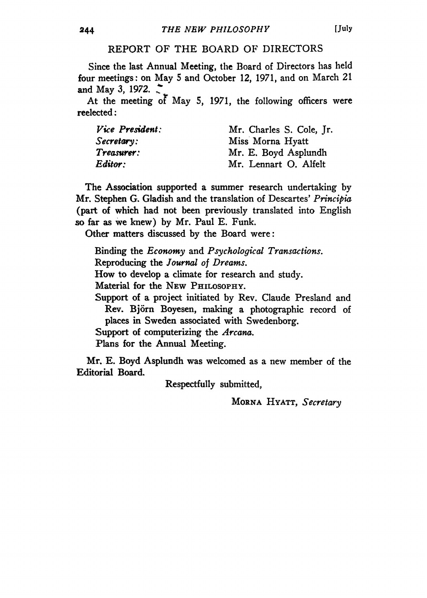#### REPORT OF THE BOARD OF DIRECTORS

Since the last Annual Meeting, the Board of Directors has held four meetings: on May 5 and October 12, 1971, and on March 21 and May 3, 1972.

At the meeting of May 5, 1971, the following officers were reelected:

| Vice President: | Mr. Charles S. Cole, Jr. |
|-----------------|--------------------------|
| Secretary:      | Miss Morna Hyatt         |
| Treasurer:      | Mr. E. Boyd Asplundh     |
| Editor:         | Mr. Lennart O. Alfelt    |

The Association supported a summer research undertaking by Mr. Stephen G. Gladish and the translation of Descartes' *Principia* (part of which had not been previously translated into English so far as we knew) by Mr. Paul E. Funk.

Other matters discussed by the Board were:

Binding the *Economy* and *Psychological Transactions.*

Reproducing the *Journal of Dreams.*

How to develop a climate for research and study.

Material for the New Philosophy.

Support of a project initiated by Rev. Claude Presland and Rev. Bjorn Boyesen, making a photographic record of places in Sweden associated with Swedenborg.

Support of computerizing the *Arcana.*

Plans for the Annual Meeting.

Mr. E. Boyd Asplundh was welcomed as a new member of the Editorial Board.

Respectfully submitted,

Morna Hyatt, *Secretary*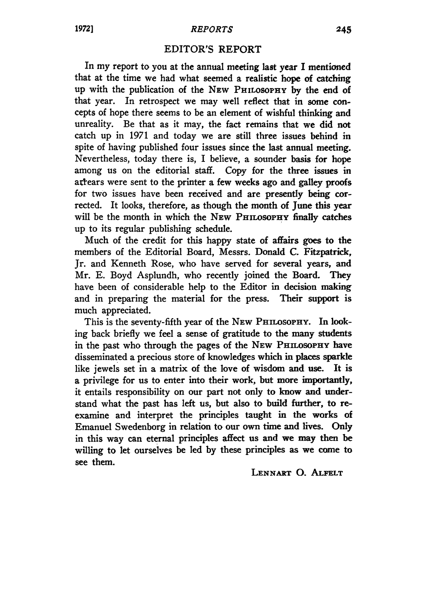## **1972]** *REPORTS* **245**

## **EDITOR'S REPORT**

In my report to you at the annual meeting last year I mentioned that at the time we had what seemed a realistic hope of catching up with the publication of the New Philosophy by the end of that year. In retrospect we may well reflect that in some concepts of hope there seems to be an element of wishful thinking and unreality. Be that as it may, the fact remains that we did not catch up in 1971 and today we are still three issues behind in spite of having published four issues since the last annual meeting. Nevertheless, today there is, I believe, a sounder basis for hope among us on the editorial staff. Copy for the three issues in arrears were sent to the printer a few weeks ago and galley proofs for two issues have been received and are presently being corrected. It looks, therefore, as though the month of June this year will be the month in which the NEW PHILOSOPHY finally catches up to its regular publishing schedule.

Much of the credit for this happy state of affairs goes to the members of the Editorial Board, Messrs. Donald C. Fitzpatrick, Jr. and Kenneth Rose, who have served for several years, and Mr. E. Boyd Asplundh, who recently joined the Board. They have been of considerable help to the Editor in decision making and in preparing the material for the press. Their support is much appreciated.

This is the seventy-fifth year of the New PHILOSOPHY. In looking back briefly we feel a sense of gratitude to the many students in the past who through the pages of the New PHILOSOPHY have disseminated a precious store of knowledges which in places sparkle like jewels set in a matrix of the love of wisdom and use. It is a privilege for us to enter into their work, but more importantly, it entails responsibility on our part not only to know and understand what the past has left us, but also to build further, to reexamine and interpret the principles taught in the works of Emanuel Swedenborg in relation to our own time and lives. Only in this way can eternal principles affect us and we may then be willing to let ourselves be led by these principles as we come to see them.

#### Lennart **O.** Alfelt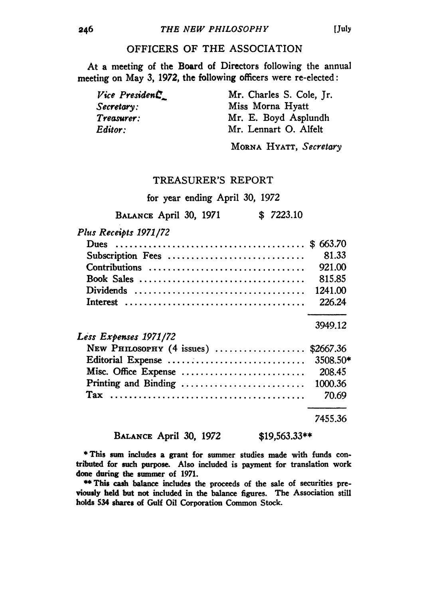## OFFICERS OF THE ASSOCIATION

At a meeting of the Board of Directors following the annual meeting on May 3, 1972, the following officers were re-elected:

*Vice President* Mr. Charles S. Cole, Jr. *Secretary:* Miss Morna Hyatt *Treasurer:* Mr. E. Boyd Asplundh *Editor:* Mr. Lennart O. Alfelt

Morna Hyatt, *Secretary*

## TREASURER'S REPORT

for year ending April 30, 1972

BALANCE April 30, 1971 \$ 7223.10

*Plus Receipts 1971/72*

| Subscription Fees                   | 81.33     |
|-------------------------------------|-----------|
| Contributions                       | 921.00    |
| Book Sales                          | 815.85    |
|                                     | 1241.00   |
|                                     | 226.24    |
|                                     | 3949.12   |
| Less Expenses 1971/72               |           |
| NEW PHILOSOPHY $(4 \text{ issues})$ | \$2667.36 |
| Editorial Expense                   | 3508.50*  |
| Misc. Office Expense                | 208.45    |
| Printing and Binding                | 1000.36   |
| Tax                                 | 70.69     |
|                                     |           |

7455.36

#### BALANCE April 30, 1972 \$19,563.33\*\*

\*This sum includes a grant for summer studies made with funds contributed for such purpose. Also included is payment for translation work done during the summer of 1971.

\*\* This cash balance includes the proceeds of the sale of securities previously held but not included in the balance figures. The Association still holds 534 shares of Gulf Oil Corporation Common Stock.